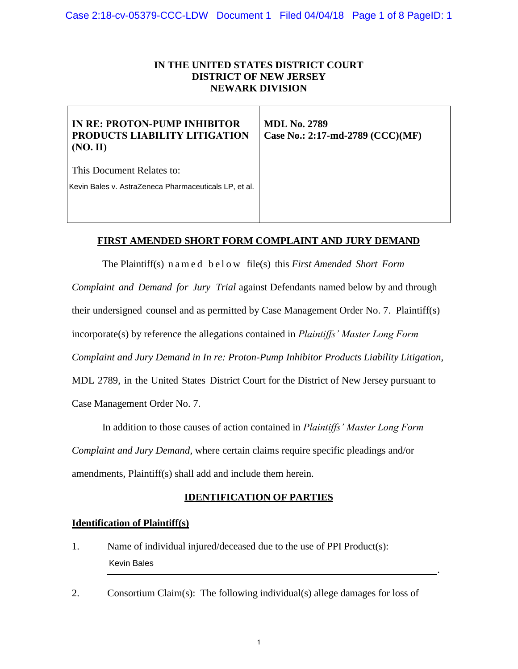### **IN THE UNITED STATES DISTRICT COURT DISTRICT OF NEW JERSEY NEWARK DIVISION**

| IN RE: PROTON-PUMP INHIBITOR<br>PRODUCTS LIABILITY LITIGATION<br>(NO, II) | <b>MDL No. 2789</b><br>Case No.: 2:17-md-2789 (CCC)(MF) |
|---------------------------------------------------------------------------|---------------------------------------------------------|
| This Document Relates to:                                                 |                                                         |
| Kevin Bales v. AstraZeneca Pharmaceuticals LP, et al.                     |                                                         |
|                                                                           |                                                         |

### **FIRST AMENDED SHORT FORM COMPLAINT AND JURY DEMAND**

The Plaintiff(s) n a m e d b e l o w file(s) this *First Amended Short Form Complaint and Demand for Jury Trial* against Defendants named below by and through their undersigned counsel and as permitted by Case Management Order No. 7. Plaintiff(s) incorporate(s) by reference the allegations contained in *Plaintiffs' Master Long Form Complaint and Jury Demand in In re: Proton-Pump Inhibitor Products Liability Litigation*, MDL 2789, in the United States District Court for the District of New Jersey pursuant to Case Management Order No. 7. Kevin Bales v. AstraZeneca Pharmaceuticals LP, et al.<br> **FIRST AMENDED SHORT FORM**<br>
The Plaintiff(s) n a m e d below film<br>
Complaint and Demand for Jury Trial agai<br>
their undersigned counsel and as permitted by<br>
incorporate

In addition to those causes of action contained in *Plaintiffs' Master Long Form* 

*Complaint and Jury Demand*, where certain claims require specific pleadings and/or amendments, Plaintiff(s) shall add and include them herein.

### **IDENTIFICATION OF PARTIES**

### **Identification of Plaintiff(s)**

- 1. Name of individual injured/deceased due to the use of PPI Product(s): .
- 2. Consortium Claim(s): The following individual(s) allege damages for loss of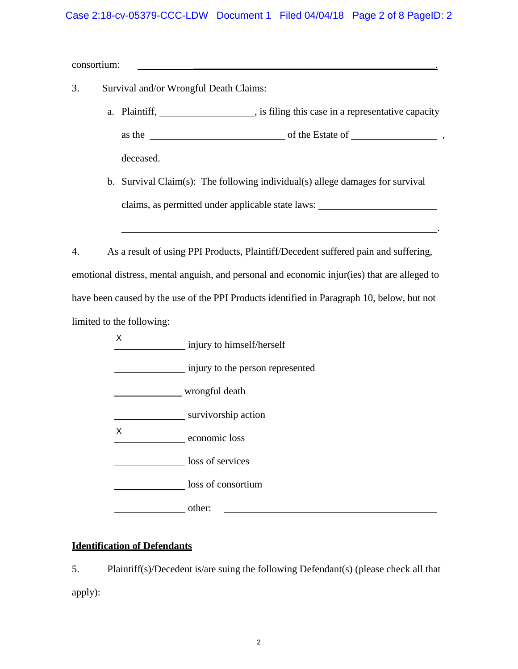### Case 2:18-cv-05379-CCC-LDW Document 1 Filed 04/04/18 Page 2 of 8 PageID: 2

consortium:

- 3. Survival and/or Wrongful Death Claims:
	- a. Plaintiff,  $\qquad \qquad$ , is filing this case in a representative capacity as the of the Estate of , deceased.
	- b. Survival Claim(s): The following individual(s) allege damages for survival claims, as permitted under applicable state laws:

.

4. As a result of using PPI Products, Plaintiff/Decedent suffered pain and suffering, emotional distress, mental anguish, and personal and economic injur(ies) that are alleged to have been caused by the use of the PPI Products identified in Paragraph 10, below, but not limited to the following:

injury to himself/herself injury to the person represented wrongful death survivorship action economic loss loss of services loss of consortium other: X X

# **Identification of Defendants**

5. Plaintiff(s)/Decedent is/are suing the following Defendant(s) (please check all that apply):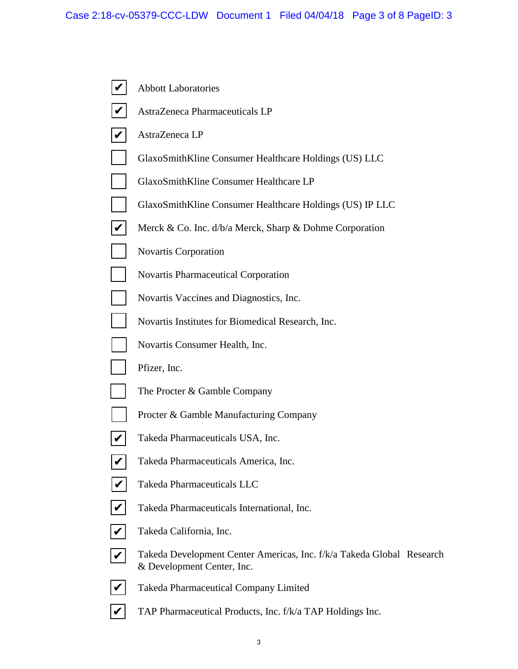|                      | <b>Abbott Laboratories</b>                                                                          |
|----------------------|-----------------------------------------------------------------------------------------------------|
|                      | AstraZeneca Pharmaceuticals LP                                                                      |
|                      | AstraZeneca LP                                                                                      |
|                      | GlaxoSmithKline Consumer Healthcare Holdings (US) LLC                                               |
|                      | GlaxoSmithKline Consumer Healthcare LP                                                              |
|                      | GlaxoSmithKline Consumer Healthcare Holdings (US) IP LLC                                            |
|                      | Merck & Co. Inc. d/b/a Merck, Sharp & Dohme Corporation                                             |
|                      | <b>Novartis Corporation</b>                                                                         |
|                      | <b>Novartis Pharmaceutical Corporation</b>                                                          |
|                      | Novartis Vaccines and Diagnostics, Inc.                                                             |
|                      | Novartis Institutes for Biomedical Research, Inc.                                                   |
|                      | Novartis Consumer Health, Inc.                                                                      |
|                      | Pfizer, Inc.                                                                                        |
|                      | The Procter & Gamble Company                                                                        |
|                      | Procter & Gamble Manufacturing Company                                                              |
|                      | Takeda Pharmaceuticals USA, Inc.                                                                    |
|                      | Takeda Pharmaceuticals America, Inc.                                                                |
|                      | Takeda Pharmaceuticals LLC                                                                          |
| $\blacktriangledown$ | Takeda Pharmaceuticals International, Inc.                                                          |
|                      | Takeda California, Inc.                                                                             |
|                      | Takeda Development Center Americas, Inc. f/k/a Takeda Global Research<br>& Development Center, Inc. |
|                      | <b>Takeda Pharmaceutical Company Limited</b>                                                        |
|                      | TAP Pharmaceutical Products, Inc. f/k/a TAP Holdings Inc.                                           |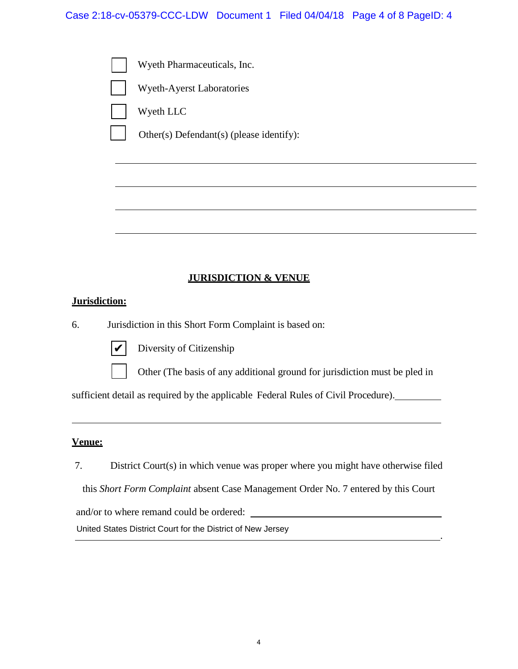

## **JURISDICTION & VENUE**

## **Jurisdiction:**

6. Jurisdiction in this Short Form Complaint is based on:



Diversity of Citizenship

Other (The basis of any additional ground for jurisdiction must be pled in

.

sufficient detail as required by the applicable Federal Rules of Civil Procedure). University of Citizenship<br>
University of Citizenship<br>
Unificient detail as required by the applicable Federal<br>
Unificient detail as required by the applicable Federal<br>
Unificient Court (s) in which venue was proper<br>
this

### **Venue:**

7. District Court(s) in which venue was proper where you might have otherwise filed

this *Short Form Complaint* absent Case Management Order No. 7 entered by this Court

and/or to where remand could be ordered: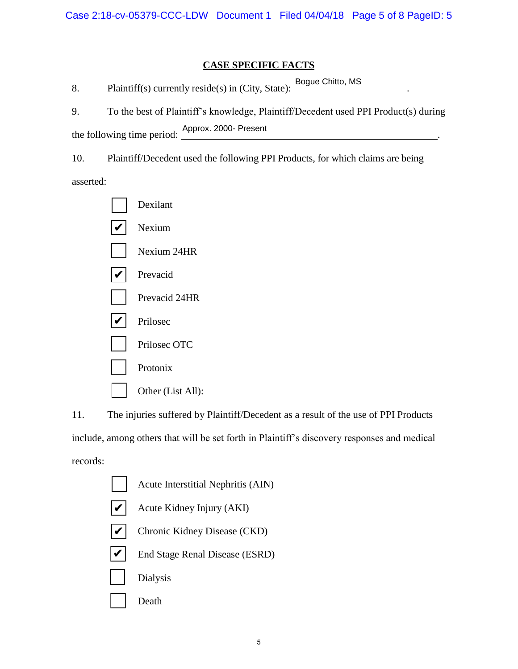## **CASE SPECIFIC FACTS**

|                                                    |  | Bogue Chitto, MS |  |
|----------------------------------------------------|--|------------------|--|
| Plaintiff(s) currently reside(s) in (City, State): |  |                  |  |

9. To the best of Plaintiff's knowledge, Plaintiff/Decedent used PPI Product(s) during the following time period:  $\frac{\text{Approx. 2000- Present}}{\text{.}}$ 

10. Plaintiff/Decedent used the following PPI Products, for which claims are being

asserted:



11. The injuries suffered by Plaintiff/Decedent as a result of the use of PPI Products include, among others that will be set forth in Plaintiff's discovery responses and medical records:

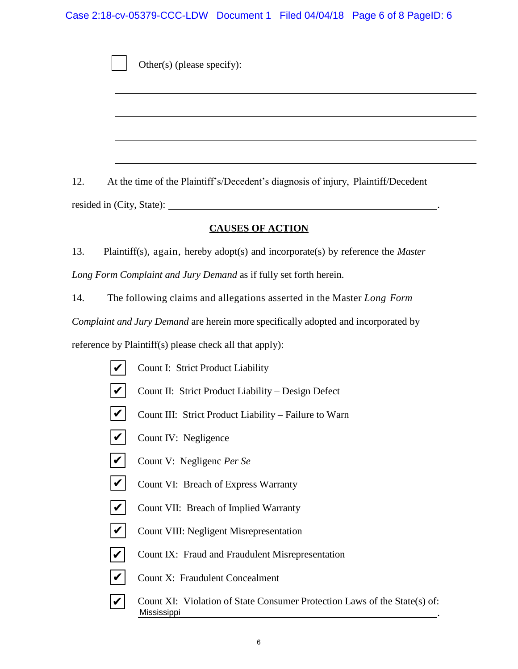Case 2:18-cv-05379-CCC-LDW Document 1 Filed 04/04/18 Page 6 of 8 PageID: 6

Other(s) (please specify):

12. At the time of the Plaintiff's/Decedent's diagnosis of injury, Plaintiff/Decedent resided in (City, State): .

### **CAUSES OF ACTION**

13. Plaintiff(s), again, hereby adopt(s) and incorporate(s) by reference the *Master Long Form Complaint and Jury Demand* as if fully set forth herein.

14. The following claims and allegations asserted in the Master *Long Form Complaint and Jury Demand* are herein more specifically adopted and incorporated by

reference by Plaintiff(s) please check all that apply):

- Count I: Strict Product Liability
- Count II: Strict Product Liability Design Defect ✔
- Count III: Strict Product Liability Failure to Warn  $\boldsymbol{v}$
- Count IV: Negligence  $\boldsymbol{|} \boldsymbol{\mathit{v}} \boldsymbol{|}$
- Count V: Negligenc *Per Se*  $\vert\bm{\mathsf{v}}\vert$
- Count VI: Breach of Express Warranty  $\vert\bm{\mathsf{v}}\vert$
- Count VII: Breach of Implied Warranty  $\boldsymbol{|\mathcal{V}|}$
- Count VIII: Negligent Misrepresentation  $\overline{\boldsymbol{v}}$
- Count IX: Fraud and Fraudulent Misrepresentation  $\blacktriangledown$
- Count X: Fraudulent Concealment  $\overline{\mathcal{V}}$
- Count XI: Violation of State Consumer Protection Laws of the State(s) of: . MISSION Count II: S<br>
MISSION Count III: Count IV:<br>
MISSION Count VI: Count VI: Count VI: Count VI: Count VI: Count VII: Count VII: Count IX: Count X: Mississippi  $\overline{\boldsymbol{v}}$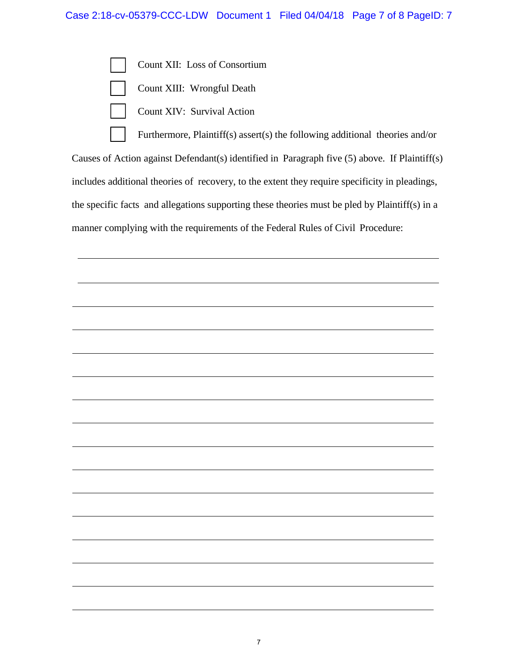

Furthermore, Plaintiff(s) assert(s) the following additional theories and/or Causes of Action against Defendant(s) identified in Paragraph five (5) above. If Plaintiff(s) includes additional theories of recovery, to the extent they require specificity in pleadings, the specific facts and allegations supporting these theories must be pled by Plaintiff(s) in a manner complying with the requirements of the Federal Rules of Civil Procedure: